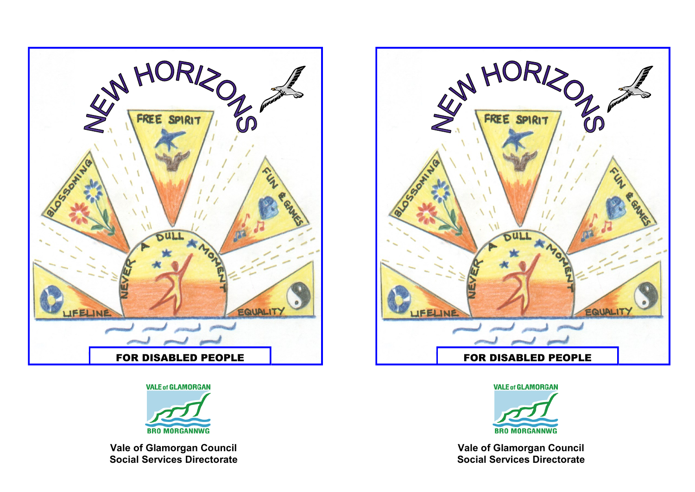

**VALE of GLAMORGAN** 



**Vale of Glamorgan Council Social Services Directorate**





**Vale of Glamorgan Council Social Services Directorate**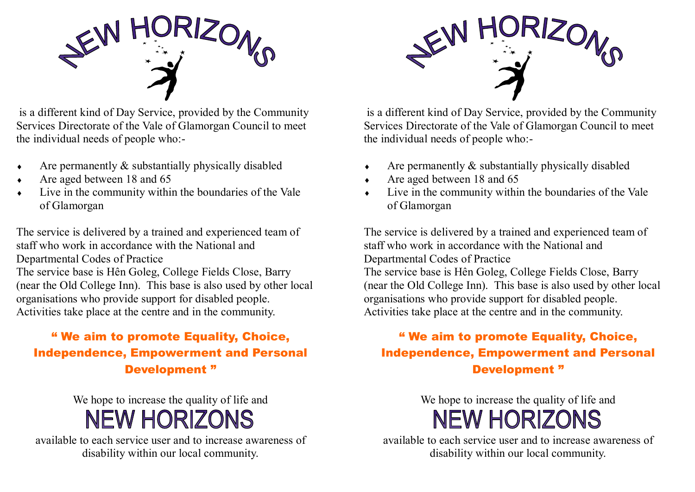

is a different kind of Day Service, provided by the Community Services Directorate of the Vale of Glamorgan Council to meet the individual needs of people who:-

- $\triangle$  Are permanently  $\&$  substantially physically disabled
- Are aged between 18 and 65
- Live in the community within the boundaries of the Vale of Glamorgan

The service is delivered by a trained and experienced team of staff who work in accordance with the National and Departmental Codes of Practice The service base is Hên Goleg, College Fields Close, Barry (near the Old College Inn). This base is also used by other local organisations who provide support for disabled people. Activities take place at the centre and in the community.

#### " We aim to promote Equality, Choice, Independence, Empowerment and Personal Development "

We hope to increase the quality of life and **NEW HORIZONS** 

available to each service user and to increase awareness of disability within our local community.



is a different kind of Day Service, provided by the Community Services Directorate of the Vale of Glamorgan Council to meet the individual needs of people who:-

- $\triangle$  Are permanently  $\&$  substantially physically disabled
- Are aged between 18 and 65
- Live in the community within the boundaries of the Vale of Glamorgan

The service is delivered by a trained and experienced team of staff who work in accordance with the National and Departmental Codes of Practice The service base is Hên Goleg, College Fields Close, Barry (near the Old College Inn). This base is also used by other local organisations who provide support for disabled people. Activities take place at the centre and in the community.

#### " We aim to promote Equality, Choice, Independence, Empowerment and Personal Development "

### We hope to increase the quality of life and **NEW HORIZONS**

available to each service user and to increase awareness of disability within our local community.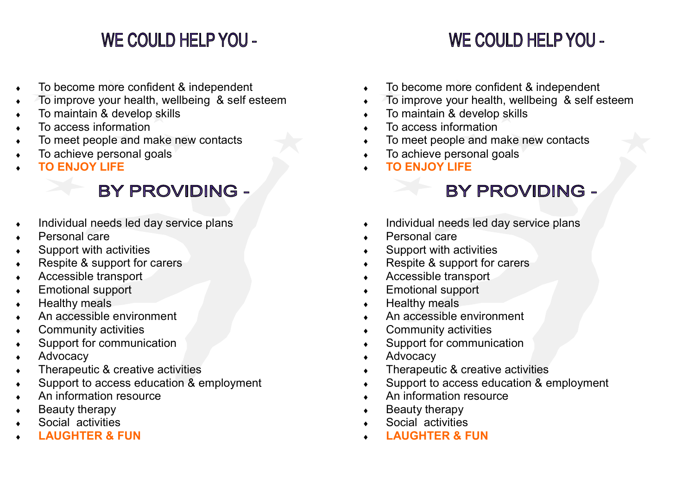## **WE COULD HELP YOU -**

## **WE COULD HELP YOU -**

- To become more confident & independent
- To improve your health, wellbeing & self esteem
- To maintain & develop skills
- To access information
- To meet people and make new contacts
- To achieve personal goals
- **TO ENJOY LIFE**

## **BY PROVIDING -**

- Individual needs led day service plans
- Personal care
- Support with activities
- Respite & support for carers
- Accessible transport
- Emotional support
- Healthy meals
- An accessible environment
- Community activities
- Support for communication
- Advocacy
- Therapeutic & creative activities
- Support to access education & employment
- An information resource
- Beauty therapy
- Social activities
- **LAUGHTER & FUN**
- To become more confident & independent
- To improve your health, wellbeing & self esteem
- To maintain & develop skills
- $\overline{\phantom{a}}$  To access information
- To meet people and make new contacts
- To achieve personal goals
- **TO ENJOY LIFE**

## **BY PROVIDING -**

- Individual needs led day service plans
- Personal care
- Support with activities
- ◆ Respite & support for carers
- Accessible transport
- Emotional support
- $\leftarrow$  Healthy meals
- An accessible environment
- Community activities
- Support for communication
- Advocacy
- Therapeutic & creative activities
- Support to access education & employment
- An information resource
- $\leftarrow$  Beauty therapy
- Social activities
- **LAUGHTER & FUN**